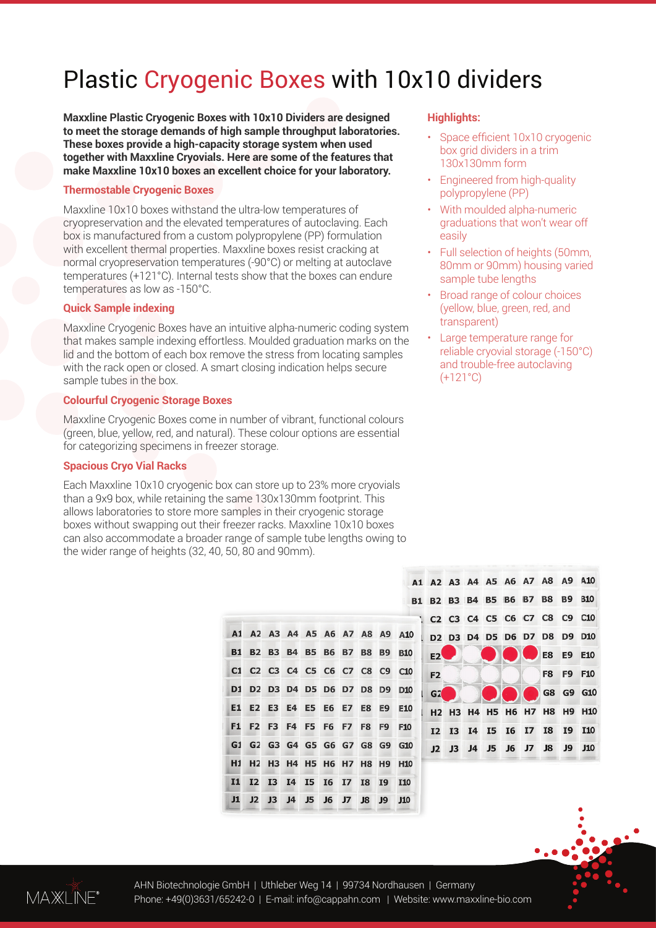# Plastic Cryogenic Boxes with 10x10 dividers

**Maxxline Plastic Cryogenic Boxes with 10x10 Dividers are designed to meet the storage demands of high sample throughput laboratories. These boxes provide a high-capacity storage system when used together with Maxxline Cryovials. Here are some of the features that make Maxxline 10x10 boxes an excellent choice for your laboratory.**

#### **Thermostable Cryogenic Boxes**

Maxxline 10x10 boxes withstand the ultra-low temperatures of cryopreservation and the elevated temperatures of autoclaving. Each box is manufactured from a custom polypropylene (PP) formulation with excellent thermal properties. Maxxline boxes resist cracking at normal cryopreservation temperatures (-90°C) or melting at autoclave temperatures (+121°C). Internal tests show that the boxes can endure temperatures as low as -150°C.

#### **Quick Sample indexing**

Maxxline Cryogenic Boxes have an intuitive alpha-numeric coding system that makes sample indexing effortless. Moulded graduation marks on the lid and the bottom of each box remove the stress from locating samples with the rack open or closed. A smart closing indication helps secure sample tubes in the box.

#### **Colourful Cryogenic Storage Boxes**

Maxxline Cryogenic Boxes come in number of vibrant, functional colours (green, blue, yellow, red, and natural). These colour options are essential for categorizing specimens in freezer storage.

#### **Spacious Cryo Vial Racks**

Each Maxxline 10x10 cryogenic box can store up to 23% more cryovials than a 9x9 box, while retaining the same 130x130mm footprint. This allows laboratories to store more samples in their cryogenic storage boxes without swapping out their freezer racks. Maxxline 10x10 boxes can also accommodate a broader range of sample tube lengths owing to the wider range of heights (32, 40, 50, 80 and 90mm).

 $A1$ 

 $B1$ 

 $C1$ 

 $D1$ 

E1 E<sub>2</sub> E<sub>3</sub>  $E4$ E5

 $F1$ F<sub>2</sub> F<sub>3</sub>

 $G1$  $G<sub>2</sub>$ 

 $H1$  $H<sub>2</sub>$ 

**I1**  $I2$ **I3 I4 I5 I6**  $T<sub>7</sub>$ T<sub>8</sub> T<sub>9</sub> **T10** 

 $11$  $J2$   $J3$ 

 $J<sub>4</sub>$ **J5** 

|  |  | <b>Highlights:</b> |
|--|--|--------------------|
|  |  |                    |

- Space efficient 10x10 cryogenic box grid dividers in a trim 130x130mm form
- Engineered from high-quality polypropylene (PP)
- With moulded alpha-numeric graduations that won't wear off easily
- Full selection of heights (50mm, 80mm or 90mm) housing varied sample tube lengths
- Broad range of colour choices (yellow, blue, green, red, and transparent)
- Large temperature range for reliable cryovial storage (-150°C) and trouble-free autoclaving  $(+121^{\circ}C)$

|                |  |  |                                | 41 A2 A3 A4 A5 A6 A7 A8 A9 A10                                                                                                          |
|----------------|--|--|--------------------------------|-----------------------------------------------------------------------------------------------------------------------------------------|
|                |  |  | 31 B2 B3 B4 B5 B6 B7 B8 B9 B10 |                                                                                                                                         |
|                |  |  | 1 C2 C3 C4 C5 C6 C7 C8 C9 C10  |                                                                                                                                         |
|                |  |  | D2 D3 D4 D5 D6 D7 D8 D9 D10    |                                                                                                                                         |
| E2             |  |  | E8 E9 E10                      |                                                                                                                                         |
| F <sub>2</sub> |  |  |                                | F8 F9 F10                                                                                                                               |
| G2             |  |  |                                | G8 G9 G10                                                                                                                               |
|                |  |  |                                | H <sub>2</sub> H <sub>3</sub> H <sub>4</sub> H <sub>5</sub> H <sub>6</sub> H <sub>7</sub> H <sub>8</sub> H <sub>9</sub> H <sub>10</sub> |
|                |  |  |                                | I2 I3 I4 I5 I6 I7 I8 I9 I10                                                                                                             |
|                |  |  |                                | J2 J3 J4 J5 J6 J7 J8 J9 J10                                                                                                             |
|                |  |  |                                |                                                                                                                                         |



A2 A3 A4 A5 A6 A7 A8 A9

F4 F5 F6 F7

H3 H4 H5 H6 H7 H8

G3 G4 G5 G6 G7 G8 G9

 $J6$ 

 $\overline{17}$  $\overline{R}$ 

E6 E7

**B2 B3 B4 B5 B6 B7** 

C<sub>2</sub> C<sub>3</sub> C<sub>4</sub> C<sub>5</sub> C<sub>6</sub> C<sub>7</sub>

D2 D3 D4 D5 D6 D7

 $A10$ 

D<sub>10</sub> D<sub>9</sub>

E10

F<sub>10</sub> F<sub>9</sub>

G<sub>10</sub>

 $J10$ 

**B8 B9 B10** 

 $C8$  $C9$  $C10$ 

D<sub>8</sub>

E8 E<sub>9</sub>

F8

H<sub>9</sub> H<sub>10</sub>

 $J9$